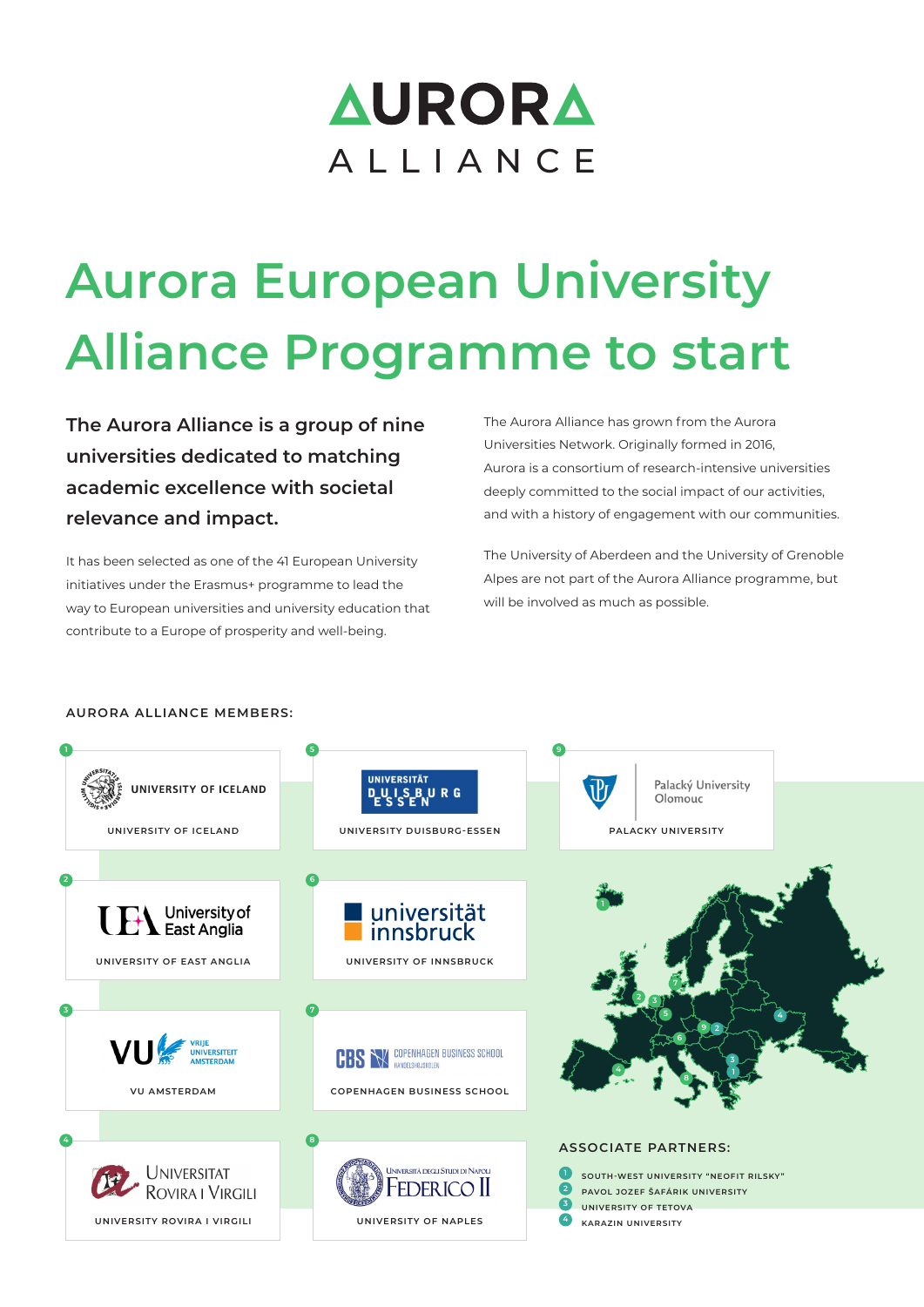## **AURORA** ALLIANCE

# **Aurora European University Alliance Programme to start**

**The Aurora Alliance is a group of nine universities dedicated to matching academic excellence with societal relevance and impact.**

It has been selected as one of the 41 European University initiatives under the Erasmus+ programme to lead the way to European universities and university education that contribute to a Europe of prosperity and well-being.

The Aurora Alliance has grown from the Aurora Universities Network. Originally formed in 2016, Aurora is a consortium of research-intensive universities deeply committed to the social impact of our activities, and with a history of engagement with our communities.

The University of Aberdeen and the University of Grenoble Alpes are not part of the Aurora Alliance programme, but will be involved as much as possible.

#### **AURORA ALLIANCE MEMBERS:**